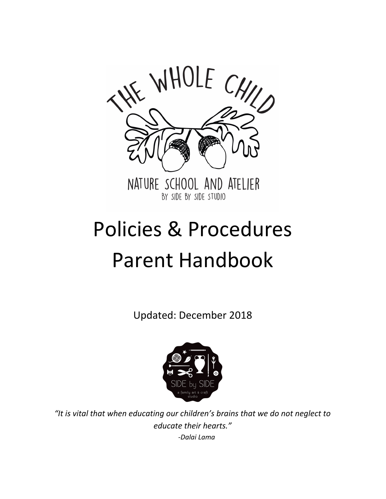

# Policies & Procedures Parent Handbook

Updated: December 2018



*"It is vital that when educating our children's brains that we do not neglect to educate their hearts." -Dalai Lama*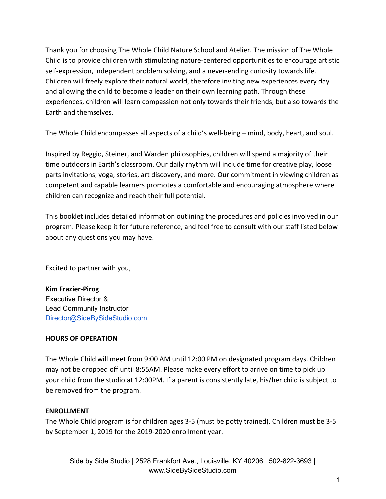Thank you for choosing The Whole Child Nature School and Atelier. The mission of The Whole Child is to provide children with stimulating nature-centered opportunities to encourage artistic self-expression, independent problem solving, and a never-ending curiosity towards life. Children will freely explore their natural world, therefore inviting new experiences every day and allowing the child to become a leader on their own learning path. Through these experiences, children will learn compassion not only towards their friends, but also towards the Earth and themselves.

The Whole Child encompasses all aspects of a child's well-being – mind, body, heart, and soul.

Inspired by Reggio, Steiner, and Warden philosophies, children will spend a majority of their time outdoors in Earth's classroom. Our daily rhythm will include time for creative play, loose parts invitations, yoga, stories, art discovery, and more. Our commitment in viewing children as competent and capable learners promotes a comfortable and encouraging atmosphere where children can recognize and reach their full potential.

This booklet includes detailed information outlining the procedures and policies involved in our program. Please keep it for future reference, and feel free to consult with our staff listed below about any questions you may have.

Excited to partner with you,

**Kim Frazier-Pirog** Executive Director & Lead Community Instructor [Director@SideBySideStudio.com](mailto:Director@SideBySideStudio.com)

#### **HOURS OF OPERATION**

The Whole Child will meet from 9:00 AM until 12:00 PM on designated program days. Children may not be dropped off until 8:55AM. Please make every effort to arrive on time to pick up your child from the studio at 12:00PM. If a parent is consistently late, his/her child is subject to be removed from the program.

#### **ENROLLMENT**

The Whole Child program is for children ages 3-5 (must be potty trained). Children must be 3-5 by September 1, 2019 for the 2019-2020 enrollment year.

Side by Side Studio | 2528 Frankfort Ave., Louisville, KY 40206 | 502-822-3693 | www.SideBySideStudio.com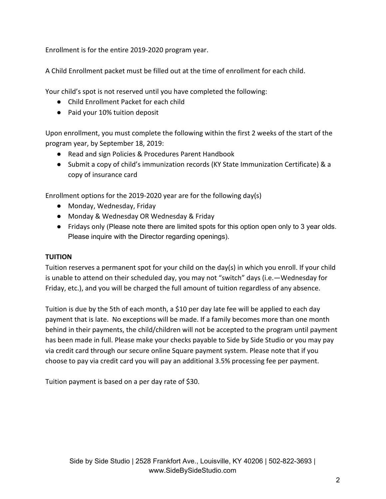Enrollment is for the entire 2019-2020 program year.

A Child Enrollment packet must be filled out at the time of enrollment for each child.

Your child's spot is not reserved until you have completed the following:

- Child Enrollment Packet for each child
- Paid your 10% tuition deposit

Upon enrollment, you must complete the following within the first 2 weeks of the start of the program year, by September 18, 2019:

- Read and sign Policies & Procedures Parent Handbook
- Submit a copy of child's immunization records (KY State Immunization Certificate) & a copy of insurance card

Enrollment options for the 2019-2020 year are for the following day(s)

- Monday, Wednesday, Friday
- Monday & Wednesday OR Wednesday & Friday
- Fridays only (Please note there are limited spots for this option open only to 3 year olds. Please inquire with the Director regarding openings).

#### **TUITION**

Tuition reserves a permanent spot for your child on the day(s) in which you enroll. If your child is unable to attend on their scheduled day, you may not "switch" days (i.e.—Wednesday for Friday, etc.), and you will be charged the full amount of tuition regardless of any absence.

Tuition is due by the 5th of each month, a \$10 per day late fee will be applied to each day payment that is late. No exceptions will be made. If a family becomes more than one month behind in their payments, the child/children will not be accepted to the program until payment has been made in full. Please make your checks payable to Side by Side Studio or you may pay via credit card through our secure online Square payment system. Please note that if you choose to pay via credit card you will pay an additional 3.5% processing fee per payment.

Tuition payment is based on a per day rate of \$30.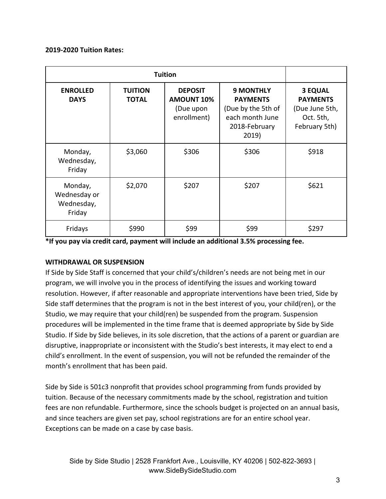#### **2019-2020 Tuition Rates:**

| <b>ENROLLED</b><br><b>DAYS</b>                  | <b>TUITION</b><br><b>TOTAL</b> | <b>DEPOSIT</b><br><b>AMOUNT 10%</b><br>(Due upon<br>enrollment) | <b>9 MONTHLY</b><br><b>PAYMENTS</b><br>(Due by the 5th of<br>each month June<br>2018-February<br>2019) | <b>3 EQUAL</b><br><b>PAYMENTS</b><br>(Due June 5th,<br>Oct. 5th,<br>February 5th) |
|-------------------------------------------------|--------------------------------|-----------------------------------------------------------------|--------------------------------------------------------------------------------------------------------|-----------------------------------------------------------------------------------|
| Monday,<br>Wednesday,<br>Friday                 | \$3,060                        | \$306                                                           | \$306                                                                                                  | \$918                                                                             |
| Monday,<br>Wednesday or<br>Wednesday,<br>Friday | \$2,070                        | \$207                                                           | \$207                                                                                                  | \$621                                                                             |
| Fridays                                         | \$990                          | \$99                                                            | \$99                                                                                                   | \$297                                                                             |

**\*If you pay via credit card, payment will include an additional 3.5% processing fee.**

#### **WITHDRAWAL OR SUSPENSION**

If Side by Side Staff is concerned that your child's/children's needs are not being met in our program, we will involve you in the process of identifying the issues and working toward resolution. However, if after reasonable and appropriate interventions have been tried, Side by Side staff determines that the program is not in the best interest of you, your child(ren), or the Studio, we may require that your child(ren) be suspended from the program. Suspension procedures will be implemented in the time frame that is deemed appropriate by Side by Side Studio. If Side by Side believes, in its sole discretion, that the actions of a parent or guardian are disruptive, inappropriate or inconsistent with the Studio's best interests, it may elect to end a child's enrollment. In the event of suspension, you will not be refunded the remainder of the month's enrollment that has been paid.

Side by Side is 501c3 nonprofit that provides school programming from funds provided by tuition. Because of the necessary commitments made by the school, registration and tuition fees are non refundable. Furthermore, since the schools budget is projected on an annual basis, and since teachers are given set pay, school registrations are for an entire school year. Exceptions can be made on a case by case basis.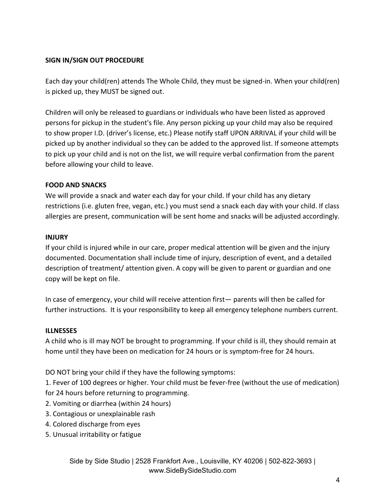#### **SIGN IN/SIGN OUT PROCEDURE**

Each day your child(ren) attends The Whole Child, they must be signed-in. When your child(ren) is picked up, they MUST be signed out.

Children will only be released to guardians or individuals who have been listed as approved persons for pickup in the student's file. Any person picking up your child may also be required to show proper I.D. (driver's license, etc.) Please notify staff UPON ARRIVAL if your child will be picked up by another individual so they can be added to the approved list. If someone attempts to pick up your child and is not on the list, we will require verbal confirmation from the parent before allowing your child to leave.

### **FOOD AND SNACKS**

We will provide a snack and water each day for your child. If your child has any dietary restrictions (i.e. gluten free, vegan, etc.) you must send a snack each day with your child. If class allergies are present, communication will be sent home and snacks will be adjusted accordingly.

#### **INJURY**

If your child is injured while in our care, proper medical attention will be given and the injury documented. Documentation shall include time of injury, description of event, and a detailed description of treatment/ attention given. A copy will be given to parent or guardian and one copy will be kept on file.

In case of emergency, your child will receive attention first— parents will then be called for further instructions. It is your responsibility to keep all emergency telephone numbers current.

#### **ILLNESSES**

A child who is ill may NOT be brought to programming. If your child is ill, they should remain at home until they have been on medication for 24 hours or is symptom-free for 24 hours.

DO NOT bring your child if they have the following symptoms:

1. Fever of 100 degrees or higher. Your child must be fever-free (without the use of medication) for 24 hours before returning to programming.

2. Vomiting or diarrhea (within 24 hours)

- 3. Contagious or unexplainable rash
- 4. Colored discharge from eyes
- 5. Unusual irritability or fatigue

Side by Side Studio | 2528 Frankfort Ave., Louisville, KY 40206 | 502-822-3693 | www.SideBySideStudio.com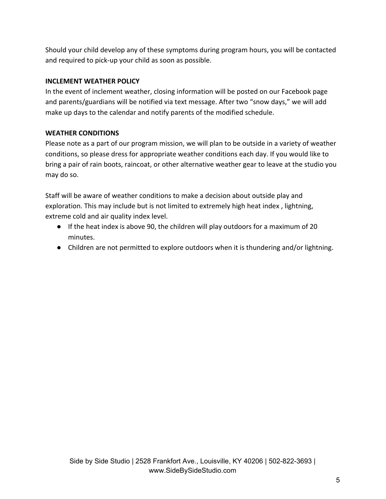Should your child develop any of these symptoms during program hours, you will be contacted and required to pick-up your child as soon as possible.

## **INCLEMENT WEATHER POLICY**

In the event of inclement weather, closing information will be posted on our Facebook page and parents/guardians will be notified via text message. After two "snow days," we will add make up days to the calendar and notify parents of the modified schedule.

## **WEATHER CONDITIONS**

Please note as a part of our program mission, we will plan to be outside in a variety of weather conditions, so please dress for appropriate weather conditions each day. If you would like to bring a pair of rain boots, raincoat, or other alternative weather gear to leave at the studio you may do so.

Staff will be aware of weather conditions to make a decision about outside play and exploration. This may include but is not limited to extremely high heat index , lightning, extreme cold and air quality index level.

- If the heat index is above 90, the children will play outdoors for a maximum of 20 minutes.
- Children are not permitted to explore outdoors when it is thundering and/or lightning.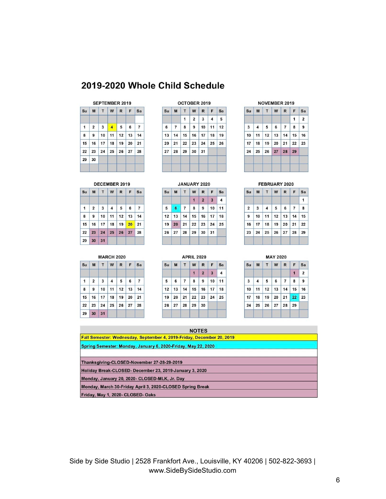## 2019-2020 Whole Child Schedule

#### SEPTEMBER 2019

|              |                |                 | Su M T W R F Sa              |             |  |
|--------------|----------------|-----------------|------------------------------|-------------|--|
| $\mathbf{1}$ | $\overline{2}$ | $3 \mid 4 \mid$ |                              | $5 \t6 \t7$ |  |
| 8            |                |                 | $9$   10   11   12   13   14 |             |  |
|              |                |                 | $15$ 16 17 18 19 20 21       |             |  |
|              |                |                 | 22 23 24 25 26 27 28         |             |  |
|              | 29 30          |                 |                              |             |  |

#### OCTOBER 2019

| Su | M                    |   | T W R F Sa     |              |                |    |
|----|----------------------|---|----------------|--------------|----------------|----|
|    |                      | 1 | $\overline{2}$ | $\mathbf{3}$ | $\overline{4}$ | 5  |
| 6  | $\overline{7}$       | 8 | 9              |              | $10 \mid 11$   | 12 |
|    | 13 14 15 16 17 18 19 |   |                |              |                |    |
|    | 20 21 22 23 24 25 26 |   |                |              |                |    |
|    | 27 28 29 30 31       |   |                |              |                |    |

#### NOVEMBER 2019

|                 |                   | $Su$ M T W R F                               |   |                |   | <b>Sa</b>      |
|-----------------|-------------------|----------------------------------------------|---|----------------|---|----------------|
|                 |                   |                                              |   |                | 1 | $\overline{2}$ |
| $\overline{3}$  | $\overline{4}$    | 5                                            | 6 | $\overline{7}$ | 8 | 9              |
| 10 <sup>1</sup> |                   | $11 \mid 12 \mid 13 \mid 14 \mid 15 \mid 16$ |   |                |   |                |
|                 |                   | $17$ 18 19 20 21 22 23                       |   |                |   |                |
|                 | 24 25 26 27 28 29 |                                              |   |                |   |                |

#### DECEMBER 2019

| Su           |          |  | M T W R F Sa                           |  |
|--------------|----------|--|----------------------------------------|--|
| $\mathbf{1}$ |          |  | $2 \mid 3 \mid 4 \mid 5 \mid 6 \mid 7$ |  |
| 8            |          |  | 9   10   11   12   13   14             |  |
|              |          |  | 15 16 17 18 19 20 21                   |  |
|              |          |  | 22 23 24 25 26 27 28                   |  |
|              | 29 30 31 |  |                                        |  |

#### **MARCH 2020**  $Su$   $M$   $T$ WR  $F$  Sa  $\mathbf{1}$  $\overline{2}$  $\mathbf{3}$  $\overline{4}$  $5$  $\bf 6$  $\overline{7}$  $\bf8$  $9^{\circ}$ 10  $11 \mid 12 \mid 13$  $14$  $21$  $15\,$  $16$  $17\,$  $18$  $19$  ${\bf 20}$ 22 23  ${\bf 24}$ 25 27 28  ${\bf 26}$ 29 30 31

| Su | M  | T              | W  | R              | F                       | Sa |
|----|----|----------------|----|----------------|-------------------------|----|
|    |    |                | 1  | $\overline{2}$ | $\overline{\mathbf{3}}$ | 4  |
| 5  | 6  | $\overline{7}$ | 8  | 9              | 10                      | 11 |
| 12 | 13 | 14             | 15 | 16             | 17                      | 18 |
| 19 | 20 | 21             | 22 | 23             | 24                      | 25 |
| 26 | 27 | 28             | 29 | 30             | 31                      |    |

|    |    |                | <b>APRIL 2020</b> |                |    |    |
|----|----|----------------|-------------------|----------------|----|----|
| Su | M  | T              | W                 | $\mathsf{R}$   | F  | Sa |
|    |    |                | $\mathbf{1}$      | $\overline{2}$ | 3  | 4  |
| 5  | 6  | $\overline{7}$ | 8                 | 9              | 10 | 11 |
| 12 | 13 | 14             |                   | 15 16 17       |    | 18 |
| 19 | 20 | 21             | 22                | 23             | 24 | 25 |
| 26 | 27 | 28             | 29                | 30             |    |    |
|    |    |                |                   |                |    |    |

## FEBRUARY 2020

÷

|  | Su  M   T   W   R   F   Sa             |                      |   |
|--|----------------------------------------|----------------------|---|
|  |                                        |                      | 1 |
|  | $2 \mid 3 \mid 4 \mid 5 \mid 6 \mid 7$ |                      | 8 |
|  | $9$ 10 11 12 13 14 15                  |                      |   |
|  | 16 17 18 19 20 21 22                   |                      |   |
|  |                                        | 23 24 25 26 27 28 29 |   |

| M<br>4 | T<br>5 | W<br>6 | $\mathbf R$<br>$\vert$ 7 | F<br>1               | Sa<br>$\overline{2}$  |
|--------|--------|--------|--------------------------|----------------------|-----------------------|
|        |        |        |                          |                      |                       |
|        |        |        |                          |                      |                       |
|        |        |        |                          | 8                    | $\overline{9}$        |
| 11     |        |        |                          |                      | 16                    |
| 18     | 19     |        |                          | 22                   | 23                    |
|        |        |        |                          |                      |                       |
|        |        |        |                          | 20 21<br>25 26 27 28 | $12$ 13 14 15<br>  29 |

| <b>NOTES</b>                                                          |
|-----------------------------------------------------------------------|
| Fall Semester: Wednesday, September 4, 2019-Friday, December 20, 2019 |
| Spring Semester: Monday, January 6, 2020-Friday, May 22, 2020         |
|                                                                       |
| Thanksgiving-CLOSED-November 27-28-29-2019                            |
| Holiday Break-CLOSED-December 23, 2019-January 3, 2020                |
| Monday, January 20, 2020- CLOSED-MLK, Jr. Day                         |
| Monday, March 30-Friday April 3, 2020-CLOSED Spring Break             |
| Friday, May 1, 2020- CLOSED- Oaks                                     |

Side by Side Studio | 2528 Frankfort Ave., Louisville, KY 40206 | 502-822-3693 | www.SideBySideStudio.com